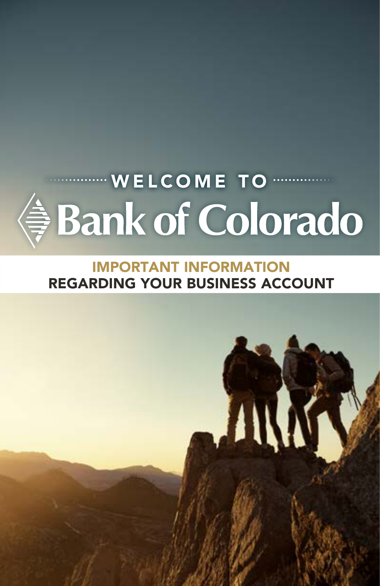# $\cdot$  WELCOME TO  $\cdot$ **● Bank of Colorado**

### IMPORTANT INFORMATION REGARDING YOUR BUSINESS ACCOUNT

ANA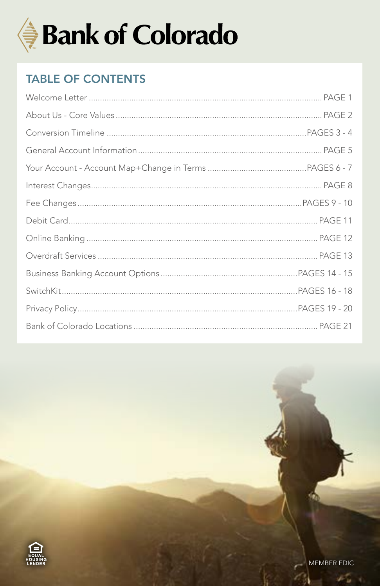

### **TABLE OF CONTENTS**

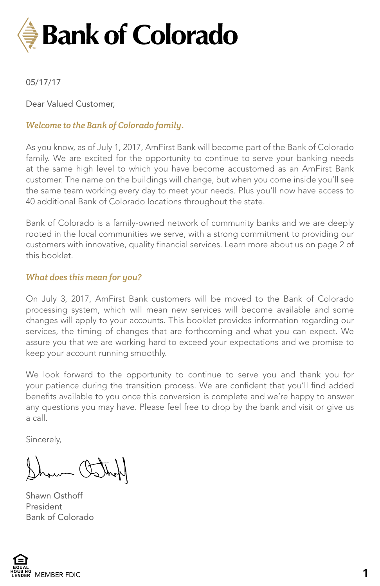

#### 05/17/17

Dear Valued Customer,

#### *Welcome to the Bank of Colorado family*.

As you know, as of July 1, 2017, AmFirst Bank will become part of the Bank of Colorado family. We are excited for the opportunity to continue to serve your banking needs at the same high level to which you have become accustomed as an AmFirst Bank customer. The name on the buildings will change, but when you come inside you'll see the same team working every day to meet your needs. Plus you'll now have access to 40 additional Bank of Colorado locations throughout the state.

Bank of Colorado is a family-owned network of community banks and we are deeply rooted in the local communities we serve, with a strong commitment to providing our customers with innovative, quality financial services. Learn more about us on page 2 of this booklet.

#### *What does this mean for you?*

On July 3, 2017, AmFirst Bank customers will be moved to the Bank of Colorado processing system, which will mean new services will become available and some changes will apply to your accounts. This booklet provides information regarding our services, the timing of changes that are forthcoming and what you can expect. We assure you that we are working hard to exceed your expectations and we promise to keep your account running smoothly.

We look forward to the opportunity to continue to serve you and thank you for your patience during the transition process. We are confident that you'll find added benefits available to you once this conversion is complete and we're happy to answer any questions you may have. Please feel free to drop by the bank and visit or give us a call.

Sincerely,

mm (to

Shawn Osthoff President Bank of Colorado

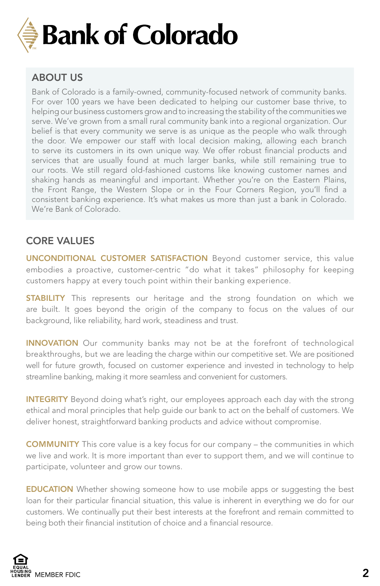

### ABOUT US

Bank of Colorado is a family-owned, community-focused network of community banks. For over 100 years we have been dedicated to helping our customer base thrive, to helping our business customers grow and to increasing the stability of the communities we serve. We've grown from a small rural community bank into a regional organization. Our belief is that every community we serve is as unique as the people who walk through the door. We empower our staff with local decision making, allowing each branch to serve its customers in its own unique way. We offer robust financial products and services that are usually found at much larger banks, while still remaining true to our roots. We still regard old-fashioned customs like knowing customer names and shaking hands as meaningful and important. Whether you're on the Eastern Plains, the Front Range, the Western Slope or in the Four Corners Region, you'll find a consistent banking experience. It's what makes us more than just a bank in Colorado. We're Bank of Colorado.

#### CORE VALUES

UNCONDITIONAL CUSTOMER SATISFACTION Beyond customer service, this value embodies a proactive, customer-centric "do what it takes" philosophy for keeping customers happy at every touch point within their banking experience.

**STABILITY** This represents our heritage and the strong foundation on which we are built. It goes beyond the origin of the company to focus on the values of our background, like reliability, hard work, steadiness and trust.

INNOVATION Our community banks may not be at the forefront of technological breakthroughs, but we are leading the charge within our competitive set. We are positioned well for future growth, focused on customer experience and invested in technology to help streamline banking, making it more seamless and convenient for customers.

INTEGRITY Beyond doing what's right, our employees approach each day with the strong ethical and moral principles that help guide our bank to act on the behalf of customers. We deliver honest, straightforward banking products and advice without compromise.

COMMUNITY This core value is a key focus for our company – the communities in which we live and work. It is more important than ever to support them, and we will continue to participate, volunteer and grow our towns.

**EDUCATION** Whether showing someone how to use mobile apps or suggesting the best loan for their particular financial situation, this value is inherent in everything we do for our customers. We continually put their best interests at the forefront and remain committed to being both their financial institution of choice and a financial resource.

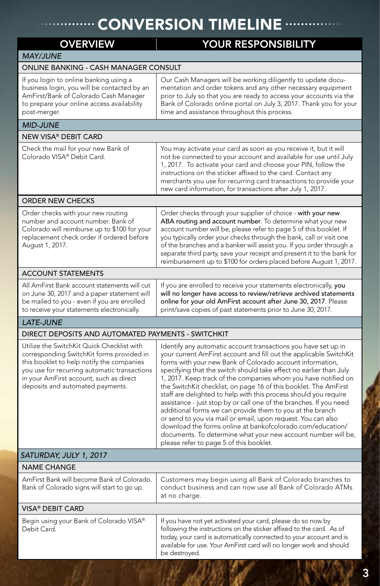### **CONVERSION TIMELINE ....**

| <b>OVERVIEW</b>                                                                                                                                                                                                                                                     |                                                                                                                                                                                                                                                                                                                                                                                                                                                                                                                                                                                                                                                                                                                                                                                                                                                                |  |  |
|---------------------------------------------------------------------------------------------------------------------------------------------------------------------------------------------------------------------------------------------------------------------|----------------------------------------------------------------------------------------------------------------------------------------------------------------------------------------------------------------------------------------------------------------------------------------------------------------------------------------------------------------------------------------------------------------------------------------------------------------------------------------------------------------------------------------------------------------------------------------------------------------------------------------------------------------------------------------------------------------------------------------------------------------------------------------------------------------------------------------------------------------|--|--|
| <b>MAY/JUNE</b>                                                                                                                                                                                                                                                     | YOUR RESPONSIBILITY                                                                                                                                                                                                                                                                                                                                                                                                                                                                                                                                                                                                                                                                                                                                                                                                                                            |  |  |
| ONLINE BANKING - CASH MANAGER CONSULT                                                                                                                                                                                                                               |                                                                                                                                                                                                                                                                                                                                                                                                                                                                                                                                                                                                                                                                                                                                                                                                                                                                |  |  |
| If you login to online banking using a<br>business login, you will be contacted by an<br>AmFirst/Bank of Colorado Cash Manager<br>to prepare your online access availability<br>post-merger.                                                                        | Our Cash Managers will be working diligently to update docu-<br>mentation and order tokens and any other necessary equipment<br>prior to July so that you are ready to access your accounts via the<br>Bank of Colorado online portal on July 3, 2017. Thank you for your<br>time and assistance throughout this process.                                                                                                                                                                                                                                                                                                                                                                                                                                                                                                                                      |  |  |
| <b>MID-JUNE</b>                                                                                                                                                                                                                                                     |                                                                                                                                                                                                                                                                                                                                                                                                                                                                                                                                                                                                                                                                                                                                                                                                                                                                |  |  |
| <b>NEW VISA® DEBIT CARD</b>                                                                                                                                                                                                                                         |                                                                                                                                                                                                                                                                                                                                                                                                                                                                                                                                                                                                                                                                                                                                                                                                                                                                |  |  |
| Check the mail for your new Bank of<br>Colorado VISA® Debit Card.                                                                                                                                                                                                   | You may activate your card as soon as you receive it, but it will<br>not be connected to your account and available for use until July<br>1, 2017. To activate your card and choose your PIN, follow the<br>instructions on the sticker affixed to the card. Contact any<br>merchants you use for recurring card transactions to provide your<br>new card information, for transactions after July 1, 2017.                                                                                                                                                                                                                                                                                                                                                                                                                                                    |  |  |
| <b>ORDER NEW CHECKS</b>                                                                                                                                                                                                                                             |                                                                                                                                                                                                                                                                                                                                                                                                                                                                                                                                                                                                                                                                                                                                                                                                                                                                |  |  |
| Order checks with your new routing<br>number and account number. Bank of<br>Colorado will reimburse up to \$100 for your<br>replacement check order if ordered before<br>August 1, 2017.                                                                            | Order checks through your supplier of choice - with your new<br>ABA routing and account number. To determine what your new<br>account number will be, please refer to page 5 of this booklet. If<br>you typically order your checks through the bank, call or visit one<br>of the branches and a banker will assist you. If you order through a<br>separate third party, save your receipt and present it to the bank for<br>reimbursement up to \$100 for orders placed before August 1, 2017.                                                                                                                                                                                                                                                                                                                                                                |  |  |
| <b>ACCOUNT STATEMENTS</b>                                                                                                                                                                                                                                           |                                                                                                                                                                                                                                                                                                                                                                                                                                                                                                                                                                                                                                                                                                                                                                                                                                                                |  |  |
| All AmFirst Bank account statements will cut<br>on June 30, 2017 and a paper statement will<br>be mailed to you - even if you are enrolled<br>to receive your statements electronically.                                                                            | If you are enrolled to receive your statements electronically, you<br>will no longer have access to review/retrieve archived statements<br>online for your old AmFirst account after June 30, 2017. Please<br>print/save copies of past statements prior to June 30, 2017.                                                                                                                                                                                                                                                                                                                                                                                                                                                                                                                                                                                     |  |  |
| <b>LATE-JUNE</b>                                                                                                                                                                                                                                                    |                                                                                                                                                                                                                                                                                                                                                                                                                                                                                                                                                                                                                                                                                                                                                                                                                                                                |  |  |
| DIRECT DEPOSITS AND AUTOMATED PAYMENTS - SWITCHKIT                                                                                                                                                                                                                  |                                                                                                                                                                                                                                                                                                                                                                                                                                                                                                                                                                                                                                                                                                                                                                                                                                                                |  |  |
| Utilize the SwitchKit Quick Checklist with<br>corresponding SwitchKit forms provided in<br>this booklet to help notify the companies<br>you use for recurring automatic transactions<br>in your AmFirst account, such as direct<br>deposits and automated payments. | Identify any automatic account transactions you have set up in<br>your current AmFirst account and fill out the applicable SwitchKit<br>forms with your new Bank of Colorado account information,<br>specifying that the switch should take effect no earlier than July<br>1, 2017. Keep track of the companies whom you have notified on<br>the SwitchKit checklist, on page 16 of this booklet. The AmFirst<br>staff are delighted to help with this process should you require<br>assistance - just stop by or call one of the branches. If you need<br>additional forms we can provide them to you at the branch<br>or send to you via mail or email, upon request. You can also<br>download the forms online at bankofcolorado.com/education/<br>documents. To determine what your new account number will be,<br>please refer to page 5 of this booklet. |  |  |
| SATURDAY, JULY 1, 2017                                                                                                                                                                                                                                              |                                                                                                                                                                                                                                                                                                                                                                                                                                                                                                                                                                                                                                                                                                                                                                                                                                                                |  |  |
| <b>NAME CHANGE</b>                                                                                                                                                                                                                                                  |                                                                                                                                                                                                                                                                                                                                                                                                                                                                                                                                                                                                                                                                                                                                                                                                                                                                |  |  |
| AmFirst Bank will become Bank of Colorado.<br>Bank of Colorado signs will start to go up.                                                                                                                                                                           | Customers may begin using all Bank of Colorado branches to<br>conduct business and can now use all Bank of Colorado ATMs<br>at no charge.                                                                                                                                                                                                                                                                                                                                                                                                                                                                                                                                                                                                                                                                                                                      |  |  |
| VISA® DEBIT CARD                                                                                                                                                                                                                                                    |                                                                                                                                                                                                                                                                                                                                                                                                                                                                                                                                                                                                                                                                                                                                                                                                                                                                |  |  |
| Begin using your Bank of Colorado VISA®<br>Debit Card.                                                                                                                                                                                                              | If you have not yet activated your card, please do so now by<br>following the instructions on the sticker affixed to the card. As of<br>today, your card is automatically connected to your account and is<br>available for use. Your AmFirst card will no longer work and should<br>be destroyed.                                                                                                                                                                                                                                                                                                                                                                                                                                                                                                                                                             |  |  |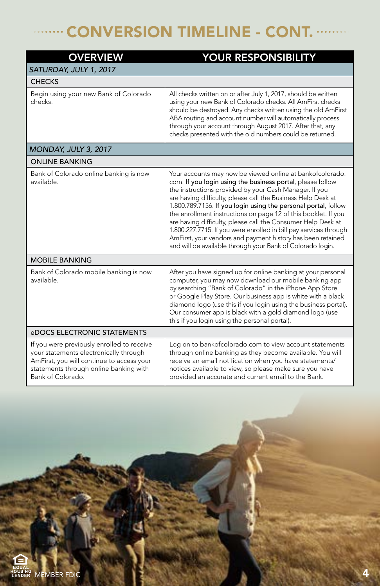### CONVERSION TIMELINE - CONT.

| <b>OVERVIEW</b>                                                                                                                                                                                  | YOUR RESPONSIBILITY                                                                                                                                                                                                                                                                                                                                                                                                                                                                                                                                                                                                                                     |
|--------------------------------------------------------------------------------------------------------------------------------------------------------------------------------------------------|---------------------------------------------------------------------------------------------------------------------------------------------------------------------------------------------------------------------------------------------------------------------------------------------------------------------------------------------------------------------------------------------------------------------------------------------------------------------------------------------------------------------------------------------------------------------------------------------------------------------------------------------------------|
| SATURDAY, JULY 1, 2017                                                                                                                                                                           |                                                                                                                                                                                                                                                                                                                                                                                                                                                                                                                                                                                                                                                         |
| <b>CHECKS</b>                                                                                                                                                                                    |                                                                                                                                                                                                                                                                                                                                                                                                                                                                                                                                                                                                                                                         |
| Begin using your new Bank of Colorado<br>checks.                                                                                                                                                 | All checks written on or after July 1, 2017, should be written<br>using your new Bank of Colorado checks. All AmFirst checks<br>should be destroyed. Any checks written using the old AmFirst<br>ABA routing and account number will automatically process<br>through your account through August 2017. After that, any<br>checks presented with the old numbers could be returned.                                                                                                                                                                                                                                                                     |
| MONDAY, JULY 3, 2017                                                                                                                                                                             |                                                                                                                                                                                                                                                                                                                                                                                                                                                                                                                                                                                                                                                         |
| <b>ONLINE BANKING</b>                                                                                                                                                                            |                                                                                                                                                                                                                                                                                                                                                                                                                                                                                                                                                                                                                                                         |
| Bank of Colorado online banking is now<br>available.                                                                                                                                             | Your accounts may now be viewed online at bankofcolorado.<br>com. If you login using the business portal, please follow<br>the instructions provided by your Cash Manager. If you<br>are having difficulty, please call the Business Help Desk at<br>1.800.789.7156. If you login using the personal portal, follow<br>the enrollment instructions on page 12 of this booklet. If you<br>are having difficulty, please call the Consumer Help Desk at<br>1.800.227.7715. If you were enrolled in bill pay services through<br>AmFirst, your vendors and payment history has been retained<br>and will be available through your Bank of Colorado login. |
| <b>MOBILE BANKING</b>                                                                                                                                                                            |                                                                                                                                                                                                                                                                                                                                                                                                                                                                                                                                                                                                                                                         |
| Bank of Colorado mobile banking is now<br>available.                                                                                                                                             | After you have signed up for online banking at your personal<br>computer, you may now download our mobile banking app<br>by searching "Bank of Colorado" in the iPhone App Store<br>or Google Play Store. Our business app is white with a black<br>diamond logo (use this if you login using the business portal).<br>Our consumer app is black with a gold diamond logo (use<br>this if you login using the personal portal).                                                                                                                                                                                                                         |
| eDOCS ELECTRONIC STATEMENTS                                                                                                                                                                      |                                                                                                                                                                                                                                                                                                                                                                                                                                                                                                                                                                                                                                                         |
| If you were previously enrolled to receive<br>your statements electronically through<br>AmFirst, you will continue to access your<br>statements through online banking with<br>Bank of Colorado. | Log on to bankofcolorado.com to view account statements<br>through online banking as they become available. You will<br>receive an email notification when you have statements/<br>notices available to view, so please make sure you have<br>provided an accurate and current email to the Bank.                                                                                                                                                                                                                                                                                                                                                       |

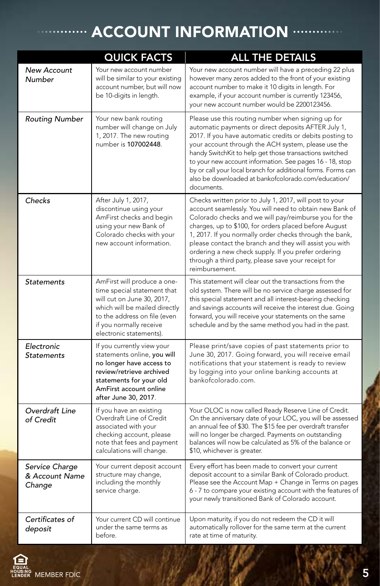### $\cdot$  ACCOUNT INFORMATION  $\cdots$

|                                            | <b>QUICK FACTS</b>                                                                                                                                                                                              | <b>ALL THE DETAILS</b>                                                                                                                                                                                                                                                                                                                                                                                                                                                                     |
|--------------------------------------------|-----------------------------------------------------------------------------------------------------------------------------------------------------------------------------------------------------------------|--------------------------------------------------------------------------------------------------------------------------------------------------------------------------------------------------------------------------------------------------------------------------------------------------------------------------------------------------------------------------------------------------------------------------------------------------------------------------------------------|
| <b>New Account</b><br>Number               | Your new account number<br>will be similar to your existing<br>account number, but will now<br>be 10-digits in length.                                                                                          | Your new account number will have a preceding 22 plus<br>however many zeros added to the front of your existing<br>account number to make it 10 digits in length. For<br>example, if your account number is currently 123456,<br>your new account number would be 2200123456.                                                                                                                                                                                                              |
| <b>Routing Number</b>                      | Your new bank routing<br>number will change on July<br>1, 2017. The new routing<br>number is 107002448.                                                                                                         | Please use this routing number when signing up for<br>automatic payments or direct deposits AFTER July 1,<br>2017. If you have automatic credits or debits posting to<br>your account through the ACH system, please use the<br>handy SwitchKit to help get those transactions switched<br>to your new account information. See pages 16 - 18, stop<br>by or call your local branch for additional forms. Forms can<br>also be downloaded at bankofcolorado.com/education/<br>documents.   |
| Checks                                     | After July 1, 2017,<br>discontinue using your<br>AmFirst checks and begin<br>using your new Bank of<br>Colorado checks with your<br>new account information.                                                    | Checks written prior to July 1, 2017, will post to your<br>account seamlessly. You will need to obtain new Bank of<br>Colorado checks and we will pay/reimburse you for the<br>charges, up to \$100, for orders placed before August<br>1, 2017. If you normally order checks through the bank,<br>please contact the branch and they will assist you with<br>ordering a new check supply. If you prefer ordering<br>through a third party, please save your receipt for<br>reimbursement. |
| <b>Statements</b>                          | AmFirst will produce a one-<br>time special statement that<br>will cut on June 30, 2017,<br>which will be mailed directly<br>to the address on file (even<br>if you normally receive<br>electronic statements). | This statement will clear out the transactions from the<br>old system. There will be no service charge assessed for<br>this special statement and all interest-bearing checking<br>and savings accounts will receive the interest due. Going<br>forward, you will receive your statements on the same<br>schedule and by the same method you had in the past.                                                                                                                              |
| Electronic<br><b>Statements</b>            | If you currently view your<br>statements online, you will<br>no longer have access to<br>review/retrieve archived<br>statements for your old<br>AmFirst account online<br>after June 30, 2017.                  | Please print/save copies of past statements prior to<br>June 30, 2017. Going forward, you will receive email<br>notifications that your statement is ready to review<br>by logging into your online banking accounts at<br>bankofcolorado.com.                                                                                                                                                                                                                                             |
| Overdraft Line<br>of Credit                | If you have an existing<br>Overdraft Line of Credit<br>associated with your<br>checking account, please<br>note that fees and payment<br>calculations will change.                                              | Your OLOC is now called Ready Reserve Line of Credit.<br>On the anniversary date of your LOC, you will be assessed<br>an annual fee of \$30. The \$15 fee per overdraft transfer<br>will no longer be charged. Payments on outstanding<br>balances will now be calculated as 5% of the balance or<br>\$10, whichever is greater.                                                                                                                                                           |
| Service Charge<br>& Account Name<br>Change | Your current deposit account<br>structure may change,<br>including the monthly<br>service charge.                                                                                                               | Every effort has been made to convert your current<br>deposit account to a similar Bank of Colorado product.<br>Please see the Account Map + Change in Terms on pages<br>6 - 7 to compare your existing account with the features of<br>your newly transitioned Bank of Colorado account.                                                                                                                                                                                                  |
| Certificates of<br>deposit                 | Your current CD will continue<br>under the same terms as<br>before.                                                                                                                                             | Upon maturity, if you do not redeem the CD it will<br>automatically rollover for the same term at the current<br>rate at time of maturity.                                                                                                                                                                                                                                                                                                                                                 |

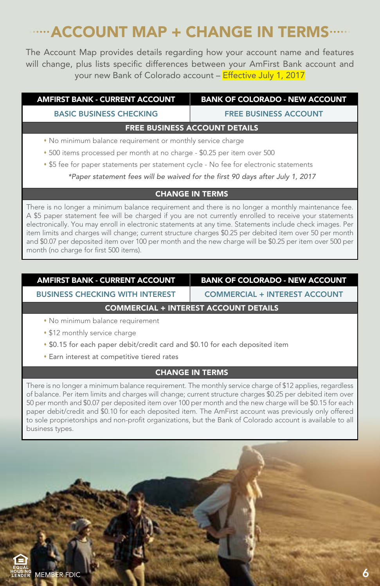### ACCOUNT MAP + CHANGE IN TERMS

The Account Map provides details regarding how your account name and features will change, plus lists specific differences between your AmFirst Bank account and your new Bank of Colorado account – Effective July 1, 2017

| <b>AMFIRST BANK - CURRENT ACCOUNT</b>                                   | <b>BANK OF COLORADO - NEW ACCOUNT</b> |  |
|-------------------------------------------------------------------------|---------------------------------------|--|
| <b>BASIC BUSINESS CHECKING</b>                                          | <b>FREE BUSINESS ACCOUNT</b>          |  |
| <b>FREE BUSINESS ACCOUNT DETAILS</b>                                    |                                       |  |
| • No minimum balance requirement or monthly service charge              |                                       |  |
| • 500 items processed per month at no charge - \$0.25 per item over 500 |                                       |  |

\$5 fee for paper statements per statement cycle - No fee for electronic statements

*\*Paper statement fees will be waived for the first 90 days after July 1, 2017*

#### CHANGE IN TERMS

There is no longer a minimum balance requirement and there is no longer a monthly maintenance fee. A \$5 paper statement fee will be charged if you are not currently enrolled to receive your statements electronically. You may enroll in electronic statements at any time. Statements include check images. Per item limits and charges will change; current structure charges \$0.25 per debited item over 50 per month and \$0.07 per deposited item over 100 per month and the new charge will be \$0.25 per item over 500 per month (no charge for first 500 items).

#### AMFIRST BANK - CURRENT ACCOUNT | BANK OF COLORADO - NEW ACCOUNT

BUSINESS CHECKING WITH INTEREST | COMMERCIAL + INTEREST ACCOUNT

#### COMMERCIAL + INTEREST ACCOUNT DETAILS

- No minimum balance requirement
- **\* \$12 monthly service charge**
- \$0.15 for each paper debit/credit card and \$0.10 for each deposited item
- Earn interest at competitive tiered rates

#### CHANGE IN TERMS

There is no longer a minimum balance requirement. The monthly service charge of \$12 applies, regardless of balance. Per item limits and charges will change; current structure charges \$0.25 per debited item over 50 per month and \$0.07 per deposited item over 100 per month and the new charge will be \$0.15 for each paper debit/credit and \$0.10 for each deposited item. The AmFirst account was previously only offered to sole proprietorships and non-profit organizations, but the Bank of Colorado account is available to all business types.

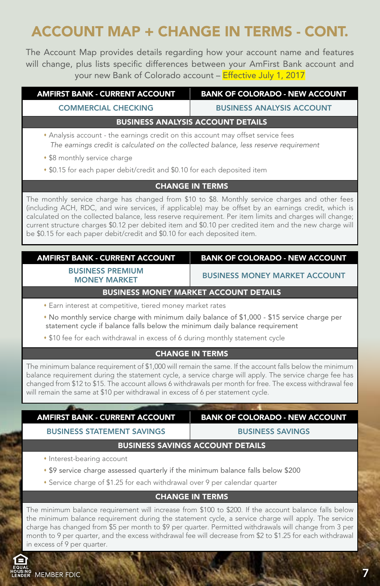### ACCOUNT MAP + CHANGE IN TERMS - CONT.

The Account Map provides details regarding how your account name and features will change, plus lists specific differences between your AmFirst Bank account and your new Bank of Colorado account – Effective July 1, 2017

| <b>AMFIRST BANK - CURRENT ACCOUNT</b>                                                                                                                                    | <b>BANK OF COLORADO - NEW ACCOUNT</b> |  |
|--------------------------------------------------------------------------------------------------------------------------------------------------------------------------|---------------------------------------|--|
| <b>COMMERCIAL CHECKING</b>                                                                                                                                               | <b>BUSINESS ANALYSIS ACCOUNT</b>      |  |
| <b>BUSINESS ANALYSIS ACCOUNT DETAILS</b>                                                                                                                                 |                                       |  |
| • Analysis account - the earnings credit on this account may offset service fees<br>The earnings credit is calculated on the collected balance, less reserve requirement |                                       |  |
| • \$8 monthly service charge                                                                                                                                             |                                       |  |

\$0.15 for each paper debit/credit and \$0.10 for each deposited item

#### CHANGE IN TERMS

The monthly service charge has changed from \$10 to \$8. Monthly service charges and other fees (including ACH, RDC, and wire services, if applicable) may be offset by an earnings credit, which is calculated on the collected balance, less reserve requirement. Per item limits and charges will change; current structure charges \$0.12 per debited item and \$0.10 per credited item and the new charge will be \$0.15 for each paper debit/credit and \$0.10 for each deposited item.

#### AMFIRST BANK - CURRENT ACCOUNT | BANK OF COLORADO - NEW ACCOUNT

BUSINESS PREMIUM<br>MONEY MARKET

MONEY MARKET BUSINESS MONEY MARKET ACCOUNT

#### BUSINESS MONEY MARKET ACCOUNT DETAILS

- Earn interest at competitive, tiered money market rates
- No monthly service charge with minimum daily balance of \$1,000 \$15 service charge per statement cycle if balance falls below the minimum daily balance requirement
- \$10 fee for each withdrawal in excess of 6 during monthly statement cycle

#### CHANGE IN TERMS

The minimum balance requirement of \$1,000 will remain the same. If the account falls below the minimum balance requirement during the statement cycle, a service charge will apply. The service charge fee has changed from \$12 to \$15. The account allows 6 withdrawals per month for free. The excess withdrawal fee will remain the same at \$10 per withdrawal in excess of 6 per statement cycle.

| <b>AMFIRST BANK - CURRENT ACCOUNT</b> | <b>BANK OF COLORADO - NEW ACCOUNT</b>   |
|---------------------------------------|-----------------------------------------|
| <b>BUSINESS STATEMENT SAVINGS</b>     | <b>BUSINESS SAVINGS</b>                 |
|                                       | <b>BUSINESS SAVINGS ACCOUNT DETAILS</b> |
| • Interest-bearing account            |                                         |

- \$9 service charge assessed quarterly if the minimum balance falls below \$200
- Service charge of \$1.25 for each withdrawal over 9 per calendar quarter

#### CHANGE IN TERMS

The minimum balance requirement will increase from \$100 to \$200. If the account balance falls below the minimum balance requirement during the statement cycle, a service charge will apply. The service charge has changed from \$5 per month to \$9 per quarter. Permitted withdrawals will change from 3 per month to 9 per quarter, and the excess withdrawal fee will decrease from \$2 to \$1.25 for each withdrawal in excess of 9 per quarter.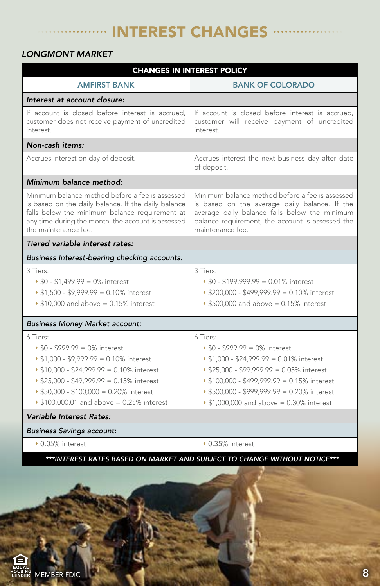#### INTEREST CHANGES  $\ddot{\phantom{0}}$  $\ddot{\phantom{a}}$

#### *LONGMONT MARKET*

| <b>CHANGES IN INTEREST POLICY</b>                                                                                                                                                                                                                                       |                                                                                                                                                                                                                                                                                  |  |  |  |
|-------------------------------------------------------------------------------------------------------------------------------------------------------------------------------------------------------------------------------------------------------------------------|----------------------------------------------------------------------------------------------------------------------------------------------------------------------------------------------------------------------------------------------------------------------------------|--|--|--|
| <b>AMFIRST BANK</b>                                                                                                                                                                                                                                                     | <b>BANK OF COLORADO</b>                                                                                                                                                                                                                                                          |  |  |  |
| Interest at account closure:                                                                                                                                                                                                                                            |                                                                                                                                                                                                                                                                                  |  |  |  |
| If account is closed before interest is accrued,<br>customer does not receive payment of uncredited<br>interest.                                                                                                                                                        | If account is closed before interest is accrued,<br>customer will receive payment of uncredited<br>interest.                                                                                                                                                                     |  |  |  |
| Non-cash items:                                                                                                                                                                                                                                                         |                                                                                                                                                                                                                                                                                  |  |  |  |
| Accrues interest on day of deposit.                                                                                                                                                                                                                                     | Accrues interest the next business day after date<br>of deposit.                                                                                                                                                                                                                 |  |  |  |
| Minimum balance method:                                                                                                                                                                                                                                                 |                                                                                                                                                                                                                                                                                  |  |  |  |
| Minimum balance method before a fee is assessed<br>is based on the daily balance. If the daily balance<br>falls below the minimum balance requirement at<br>any time during the month, the account is assessed<br>the maintenance fee.                                  | Minimum balance method before a fee is assessed<br>is based on the average daily balance. If the<br>average daily balance falls below the minimum<br>balance requirement, the account is assessed the<br>maintenance fee.                                                        |  |  |  |
| Tiered variable interest rates:                                                                                                                                                                                                                                         |                                                                                                                                                                                                                                                                                  |  |  |  |
| Business Interest-bearing checking accounts:                                                                                                                                                                                                                            |                                                                                                                                                                                                                                                                                  |  |  |  |
| 3 Tiers:<br>$$0 - $1,499.99 = 0\%$ interest<br>$$1,500 - $9,999.99 = 0.10\%$ interest<br>$\cdot$ \$10,000 and above = 0.15% interest                                                                                                                                    | 3 Tiers:<br>$$0 - $199,999.99 = 0.01\%$ interest<br>* \$200,000 - \$499,999.99 = 0.10% interest<br>• \$500,000 and above = 0.15% interest                                                                                                                                        |  |  |  |
| <b>Business Money Market account:</b>                                                                                                                                                                                                                                   |                                                                                                                                                                                                                                                                                  |  |  |  |
| 6 Tiers:<br>$$0 - $999.99 = 0\%$ interest<br>$\cdot$ \$1,000 - \$9,999.99 = 0.10% interest<br>$$10,000 - $24,999.99 = 0.10\%$ interest<br>* \$25,000 - \$49,999.99 = 0.15% interest<br>\$50,000 - \$100,000 = 0.20% interest<br>\$100,000.01 and above = 0.25% interest | 6 Tiers:<br>$$0 - $999.99 = 0\%$ interest<br>$\cdot$ \$1,000 - \$24,999.99 = 0.01% interest<br>* \$25,000 - \$99,999.99 = 0.05% interest<br>◆ \$100,000 - \$499,999.99 = 0.15% interest<br>\$500,000 - \$999,999.99 = 0.20% interest<br>• \$1,000,000 and above = 0.30% interest |  |  |  |
| Variable Interest Rates:                                                                                                                                                                                                                                                |                                                                                                                                                                                                                                                                                  |  |  |  |
| <b>Business Savings account:</b>                                                                                                                                                                                                                                        |                                                                                                                                                                                                                                                                                  |  |  |  |
| • 0.05% interest                                                                                                                                                                                                                                                        | • 0.35% interest                                                                                                                                                                                                                                                                 |  |  |  |
|                                                                                                                                                                                                                                                                         | ***INTEREST RATES BASED ON MARKET AND SUBJECT TO CHANGE WITHOUT NOTICE***                                                                                                                                                                                                        |  |  |  |

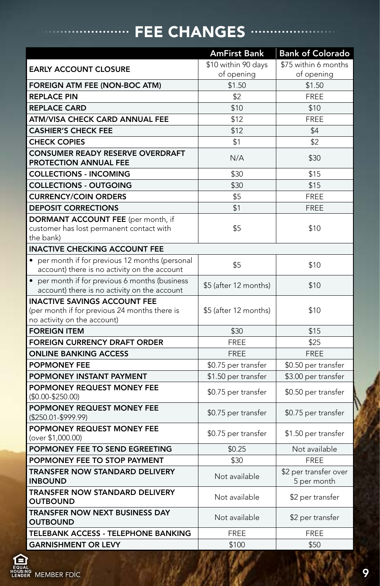#### FEE CHANGES ·· ö

|                                                                                                                     | <b>AmFirst Bank</b>   | <b>Bank of Colorado</b>              |
|---------------------------------------------------------------------------------------------------------------------|-----------------------|--------------------------------------|
| <b>EARLY ACCOUNT CLOSURE</b>                                                                                        | \$10 within 90 days   | \$75 within 6 months                 |
|                                                                                                                     | of opening            | of opening                           |
| FOREIGN ATM FEE (NON-BOC ATM)                                                                                       | \$1.50                | \$1.50                               |
| <b>REPLACE PIN</b>                                                                                                  | \$2                   | <b>FREE</b>                          |
| <b>REPLACE CARD</b>                                                                                                 | \$10                  | \$10                                 |
| ATM/VISA CHECK CARD ANNUAL FEE                                                                                      | \$12                  | <b>FREE</b>                          |
| <b>CASHIER'S CHECK FEE</b>                                                                                          | \$12                  | \$4                                  |
| <b>CHECK COPIES</b>                                                                                                 | \$1                   | \$2                                  |
| <b>CONSUMER READY RESERVE OVERDRAFT</b><br>PROTECTION ANNUAL FEE                                                    | N/A                   | \$30                                 |
| <b>COLLECTIONS - INCOMING</b>                                                                                       | \$30                  | \$15                                 |
| <b>COLLECTIONS - OUTGOING</b>                                                                                       | \$30                  | \$15                                 |
| <b>CURRENCY/COIN ORDERS</b>                                                                                         | \$5                   | <b>FREE</b>                          |
| <b>DEPOSIT CORRECTIONS</b>                                                                                          | \$1                   | <b>FREE</b>                          |
| <b>DORMANT ACCOUNT FEE</b> (per month, if<br>customer has lost permanent contact with<br>the bank)                  | \$5                   | \$10                                 |
| <b>INACTIVE CHECKING ACCOUNT FEE</b>                                                                                |                       |                                      |
| • per month if for previous 12 months (personal<br>account) there is no activity on the account                     | \$5                   | \$10                                 |
| • per month if for previous 6 months (business<br>account) there is no activity on the account                      | \$5 (after 12 months) | \$10                                 |
| <b>INACTIVE SAVINGS ACCOUNT FEE</b><br>(per month if for previous 24 months there is<br>no activity on the account) | \$5 (after 12 months) | \$10                                 |
| <b>FOREIGN ITEM</b>                                                                                                 | \$30                  | \$15                                 |
| <b>FOREIGN CURRENCY DRAFT ORDER</b>                                                                                 | <b>FREE</b>           | \$25                                 |
| <b>ONLINE BANKING ACCESS</b>                                                                                        | <b>FREE</b>           | <b>FREE</b>                          |
| <b>POPMONEY FEE</b>                                                                                                 | \$0.75 per transfer   | \$0.50 per transfer                  |
| POPMONEY INSTANT PAYMENT                                                                                            | \$1.50 per transfer   | \$3.00 per transfer                  |
| POPMONEY REQUEST MONEY FEE<br>$($0.00 - $250.00)$                                                                   | \$0.75 per transfer   | \$0.50 per transfer                  |
| POPMONEY REQUEST MONEY FEE<br>$($250.01-$999.99)$                                                                   | \$0.75 per transfer   | \$0.75 per transfer                  |
| POPMONEY REQUEST MONEY FEE<br>(over \$1,000.00)                                                                     | \$0.75 per transfer   | \$1.50 per transfer                  |
| POPMONEY FEE TO SEND EGREETING                                                                                      | \$0.25                | Not available                        |
| POPMONEY FEE TO STOP PAYMENT                                                                                        | \$30                  | <b>FREE</b>                          |
| <b>TRANSFER NOW STANDARD DELIVERY</b><br><b>INBOUND</b>                                                             | Not available         | \$2 per transfer over<br>5 per month |
| <b>TRANSFER NOW STANDARD DELIVERY</b><br><b>OUTBOUND</b>                                                            | Not available         | \$2 per transfer                     |
| <b>TRANSFER NOW NEXT BUSINESS DAY</b><br><b>OUTBOUND</b>                                                            | Not available         | \$2 per transfer                     |
| TELEBANK ACCESS - TELEPHONE BANKING                                                                                 | <b>FREE</b>           | <b>FREE</b>                          |
| <b>GARNISHMENT OR LEVY</b>                                                                                          | \$100                 | \$50                                 |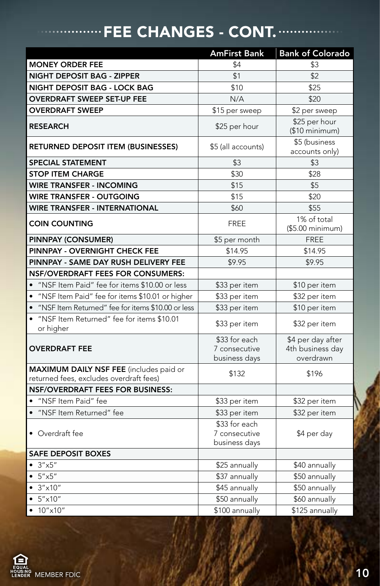### FEE CHANGES - CONT. ......

|                                                                                           | <b>AmFirst Bank</b>                             | <b>Bank of Colorado</b>                            |
|-------------------------------------------------------------------------------------------|-------------------------------------------------|----------------------------------------------------|
| <b>MONEY ORDER FEE</b>                                                                    | \$4                                             | \$3                                                |
| <b>NIGHT DEPOSIT BAG - ZIPPER</b>                                                         | \$1                                             | \$2                                                |
| NIGHT DEPOSIT BAG - LOCK BAG                                                              | \$10                                            | \$25                                               |
| <b>OVERDRAFT SWEEP SET-UP FEE</b>                                                         | N/A                                             | \$20                                               |
| <b>OVERDRAFT SWEEP</b>                                                                    | \$15 per sweep                                  | \$2 per sweep                                      |
| <b>RESEARCH</b>                                                                           | \$25 per hour                                   | \$25 per hour<br>(\$10 minimum)                    |
| RETURNED DEPOSIT ITEM (BUSINESSES)                                                        | \$5 (all accounts)                              | \$5 (business<br>accounts only)                    |
| <b>SPECIAL STATEMENT</b>                                                                  | \$3                                             | \$3                                                |
| <b>STOP ITEM CHARGE</b>                                                                   | \$30                                            | \$28                                               |
| <b>WIRE TRANSFER - INCOMING</b>                                                           | \$15                                            | \$5                                                |
| <b>WIRE TRANSFER - OUTGOING</b>                                                           | \$15                                            | \$20                                               |
| <b>WIRE TRANSFER - INTERNATIONAL</b>                                                      | \$60                                            | \$55                                               |
| <b>COIN COUNTING</b>                                                                      | <b>FREE</b>                                     | 1% of total<br>$($5.00$ minimum)                   |
| PINNPAY (CONSUMER)                                                                        | \$5 per month                                   | <b>FREE</b>                                        |
| PINNPAY - OVERNIGHT CHECK FEE                                                             | \$14.95                                         | \$14.95                                            |
| PINNPAY - SAME DAY RUSH DELIVERY FEE                                                      | \$9.95                                          | \$9.95                                             |
| <b>NSF/OVERDRAFT FEES FOR CONSUMERS:</b>                                                  |                                                 |                                                    |
| • "NSF Item Paid" fee for items \$10.00 or less                                           | \$33 per item                                   | \$10 per item                                      |
| • "NSF Item Paid" fee for items \$10.01 or higher                                         | \$33 per item                                   | \$32 per item                                      |
| • "NSF Item Returned" fee for items \$10.00 or less                                       | \$33 per item                                   | \$10 per item                                      |
| • "NSF Item Returned" fee for items \$10.01<br>or higher                                  | \$33 per item                                   | \$32 per item                                      |
| <b>OVERDRAFT FEE</b>                                                                      | \$33 for each<br>7 consecutive<br>business days | \$4 per day after<br>4th business day<br>overdrawn |
| <b>MAXIMUM DAILY NSF FEE</b> (includes paid or<br>returned fees, excludes overdraft fees) | \$132                                           | \$196                                              |
| <b>NSF/OVERDRAFT FEES FOR BUSINESS:</b>                                                   |                                                 |                                                    |
| · "NSF Item Paid" fee                                                                     | \$33 per item                                   | \$32 per item                                      |
| · "NSF Item Returned" fee                                                                 | \$33 per item                                   | \$32 per item                                      |
| • Overdraft fee                                                                           | \$33 for each<br>7 consecutive<br>business days | \$4 per day                                        |
| <b>SAFE DEPOSIT BOXES</b>                                                                 |                                                 |                                                    |
| • $3''x5''$                                                                               | \$25 annually                                   | \$40 annually                                      |
| $• 5'' \times 5''$                                                                        | \$37 annually                                   | \$50 annually                                      |
| $\overline{\bullet}$ 3"x10"                                                               | \$45 annually                                   | \$50 annually                                      |
| $• 5'' \times 10''$                                                                       | \$50 annually                                   | \$60 annually                                      |
| • $10'' \times 10''$                                                                      | \$100 annually                                  | \$125 annually                                     |

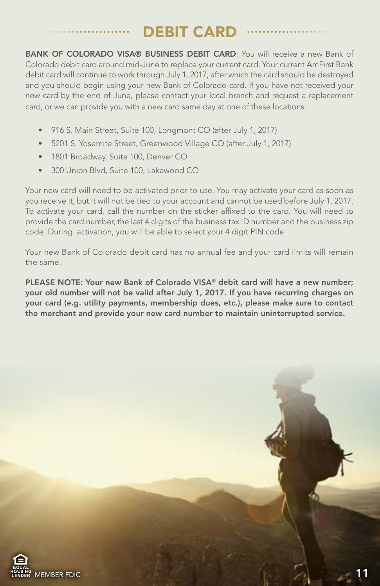### DEBIT CARD

BANK OF COLORADO VISA® BUSINESS DEBIT CARD: You will receive a new Bank of Colorado debit card around mid-June to replace your current card. Your current AmFirst Bank debit card will continue to work through July 1, 2017, after which the card should be destroyed and you should begin using your new Bank of Colorado card. If you have not received your new card by the end of June, please contact your local branch and request a replacement card, or we can provide you with a new card same day at one of these locations:

- 916 S. Main Street, Suite 100, Longmont CO (after July 1, 2017)
- 5201 S. Yosemite Street, Greenwood Village CO (after July 1, 2017)
- 1801 Broadway, Suite 100, Denver CO
- 300 Union Blvd, Suite 100, Lakewood CO

Your new card will need to be activated prior to use. You may activate your card as soon as you receive it, but it will not be tied to your account and cannot be used before July 1, 2017. To activate your card, call the number on the sticker affixed to the card. You will need to provide the card number, the last 4 digits of the business tax ID number and the business zip code. During activation, you will be able to select your 4 digit PIN code.

Your new Bank of Colorado debit card has no annual fee and your card limits will remain the same.

PLEASE NOTE: Your new Bank of Colorado VISA® debit card will have a new number; your old number will not be valid after July 1, 2017. If you have recurring charges on your card (e.g. utility payments, membership dues, etc.), please make sure to contact the merchant and provide your new card number to maintain uninterrupted service.

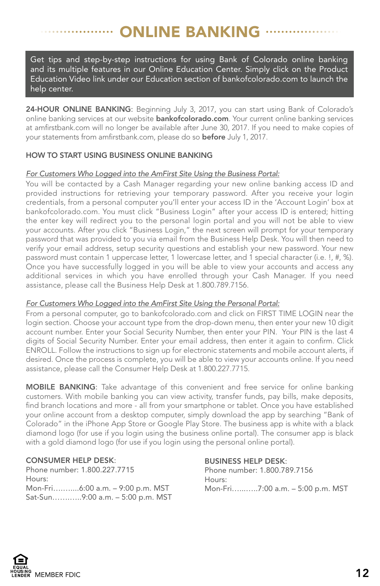### ONLINE BANKING

Get tips and step-by-step instructions for using Bank of Colorado online banking and its multiple features in our Online Education Center. Simply click on the Product Education Video link under our Education section of bankofcolorado.com to launch the help center.

24-HOUR ONLINE BANKING: Beginning July 3, 2017, you can start using Bank of Colorado's online banking services at our website **bankofcolorado.com**. Your current online banking services at amfirstbank.com will no longer be available after June 30, 2017. If you need to make copies of your statements from amfirstbank.com, please do so before July 1, 2017.

#### HOW TO START USING BUSINESS ONLINE BANKING

#### *For Customers Who Logged into the AmFirst Site Using the Business Portal:*

You will be contacted by a Cash Manager regarding your new online banking access ID and provided instructions for retrieving your temporary password. After you receive your login credentials, from a personal computer you'll enter your access ID in the 'Account Login' box at bankofcolorado.com. You must click "Business Login" after your access ID is entered; hitting the enter key will redirect you to the personal login portal and you will not be able to view your accounts. After you click "Business Login," the next screen will prompt for your temporary password that was provided to you via email from the Business Help Desk. You will then need to verify your email address, setup security questions and establish your new password. Your new password must contain 1 uppercase letter, 1 lowercase letter, and 1 special character (i.e. !, #, %). Once you have successfully logged in you will be able to view your accounts and access any additional services in which you have enrolled through your Cash Manager. If you need assistance, please call the Business Help Desk at 1.800.789.7156.

#### *For Customers Who Logged into the AmFirst Site Using the Personal Portal:*

From a personal computer, go to bankofcolorado.com and click on FIRST TIME LOGIN near the login section. Choose your account type from the drop-down menu, then enter your new 10 digit account number. Enter your Social Security Number, then enter your PIN. Your PIN is the last 4 digits of Social Security Number. Enter your email address, then enter it again to confirm. Click ENROLL. Follow the instructions to sign up for electronic statements and mobile account alerts, if desired. Once the process is complete, you will be able to view your accounts online. If you need assistance, please call the Consumer Help Desk at 1.800.227.7715.

MOBILE BANKING: Take advantage of this convenient and free service for online banking customers. With mobile banking you can view activity, transfer funds, pay bills, make deposits, find branch locations and more - all from your smartphone or tablet. Once you have established your online account from a desktop computer, simply download the app by searching "Bank of Colorado" in the iPhone App Store or Google Play Store. The business app is white with a black diamond logo (for use if you login using the business online portal). The consumer app is black with a gold diamond logo (for use if you login using the personal online portal).

#### CONSUMER HELP DESK:

Phone number: 1.800.227.7715 Hours: Mon-Fri….…....6:00 a.m. – 9:00 p.m. MST Sat-Sun…….…..9:00 a.m. – 5:00 p.m. MST

#### BUSINESS HELP DESK:

Phone number: 1.800.789.7156 Hours: Mon-Fri…...…..7:00 a.m. – 5:00 p.m. MST

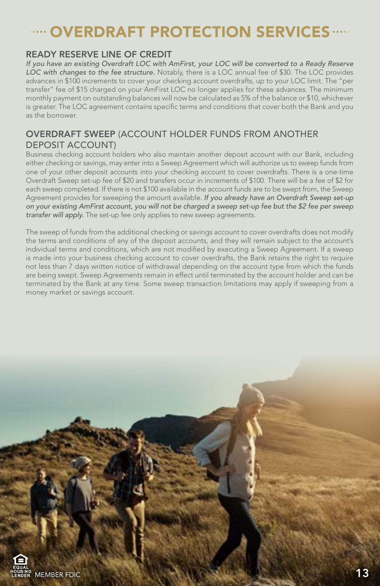### OVERDRAFT PROTECTION SERVICES

#### READY RESERVE LINE OF CREDIT

*If you have an existing Overdraft LOC with AmFirst, your LOC will be converted to a Ready Reserve LOC with changes to the fee structure.* Notably, there is a LOC annual fee of \$30. The LOC provides advances in \$100 increments to cover your checking account overdrafts, up to your LOC limit. The "per transfer" fee of \$15 charged on your AmFirst LOC no longer applies for these advances. The minimum monthly payment on outstanding balances will now be calculated as 5% of the balance or \$10, whichever is greater. The LOC agreement contains specific terms and conditions that cover both the Bank and you as the borrower.

#### OVERDRAFT SWEEP (ACCOUNT HOLDER FUNDS FROM ANOTHER DEPOSIT ACCOUNT)

Business checking account holders who also maintain another deposit account with our Bank, including either checking or savings, may enter into a Sweep Agreement which will authorize us to sweep funds from one of your other deposit accounts into your checking account to cover overdrafts. There is a one-time Overdraft Sweep set-up fee of \$20 and transfers occur in increments of \$100. There will be a fee of \$2 for each sweep completed. If there is not \$100 available in the account funds are to be swept from, the Sweep Agreement provides for sweeping the amount available. *If you already have an Overdraft Sweep set-up on your existing AmFirst account, you will not be charged a sweep set-up fee but the \$2 fee per sweep transfer will apply.* The set-up fee only applies to new sweep agreements.

The sweep of funds from the additional checking or savings account to cover overdrafts does not modify the terms and conditions of any of the deposit accounts, and they will remain subject to the account's individual terms and conditions, which are not modified by executing a Sweep Agreement. If a sweep is made into your business checking account to cover overdrafts, the Bank retains the right to require not less than 7 days written notice of withdrawal depending on the account type from which the funds are being swept. Sweep Agreements remain in effect until terminated by the account holder and can be terminated by the Bank at any time. Some sweep transaction limitations may apply if sweeping from a money market or savings account.

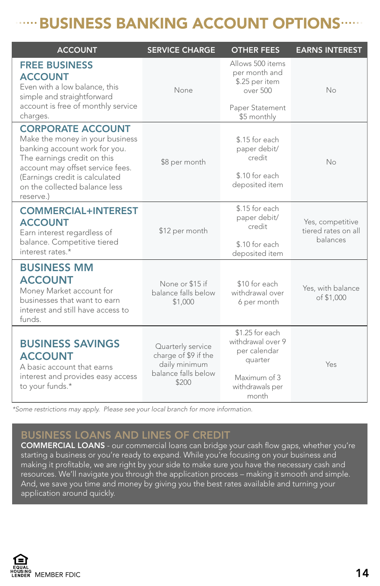### **WILD BUSINESS BANKING ACCOUNT OPTIONS .....**

| <b>ACCOUNT</b>                                                                                                                                                                                                                                  | <b>SERVICE CHARGE</b>                                                                      | <b>OTHER FEES</b>                                                                                           | <b>EARNS INTEREST</b>                               |
|-------------------------------------------------------------------------------------------------------------------------------------------------------------------------------------------------------------------------------------------------|--------------------------------------------------------------------------------------------|-------------------------------------------------------------------------------------------------------------|-----------------------------------------------------|
| <b>FREE BUSINESS</b><br><b>ACCOUNT</b><br>Even with a low balance, this<br>simple and straightforward<br>account is free of monthly service<br>charges.                                                                                         | None                                                                                       | Allows 500 items<br>per month and<br>\$.25 per item<br>over 500<br>Paper Statement<br>\$5 monthly           | No                                                  |
| <b>CORPORATE ACCOUNT</b><br>Make the money in your business<br>banking account work for you.<br>The earnings credit on this<br>account may offset service fees.<br>(Earnings credit is calculated<br>on the collected balance less<br>reserve.) | \$8 per month                                                                              | \$.15 for each<br>paper debit/<br>credit<br>\$.10 for each<br>deposited item                                | Nο                                                  |
| <b>COMMERCIAL+INTEREST</b><br><b>ACCOUNT</b><br>Earn interest regardless of<br>balance. Competitive tiered<br>interest rates *                                                                                                                  | \$12 per month                                                                             | \$.15 for each<br>paper debit/<br>credit<br>\$.10 for each<br>deposited item                                | Yes, competitive<br>tiered rates on all<br>balances |
| <b>BUSINESS MM</b><br><b>ACCOUNT</b><br>Money Market account for<br>businesses that want to earn<br>interest and still have access to<br>funds.                                                                                                 | None or \$15 if<br>balance falls below<br>\$1,000                                          | \$10 for each<br>withdrawal over<br>6 per month                                                             | Yes, with balance<br>of \$1,000                     |
| <b>BUSINESS SAVINGS</b><br><b>ACCOUNT</b><br>A basic account that earns<br>interest and provides easy access<br>to your funds.*                                                                                                                 | Quarterly service<br>charge of \$9 if the<br>daily minimum<br>balance falls below<br>\$200 | \$1.25 for each<br>withdrawal over 9<br>per calendar<br>quarter<br>Maximum of 3<br>withdrawals per<br>month | Yes                                                 |

*\*Some restrictions may apply. Please see your local branch for more information.*

#### BUSINESS LOANS AND LINES OF CREDIT

COMMERCIAL LOANS - our commercial loans can bridge your cash flow gaps, whether you're starting a business or you're ready to expand. While you're focusing on your business and making it profitable, we are right by your side to make sure you have the necessary cash and resources. We'll navigate you through the application process – making it smooth and simple. And, we save you time and money by giving you the best rates available and turning your application around quickly.

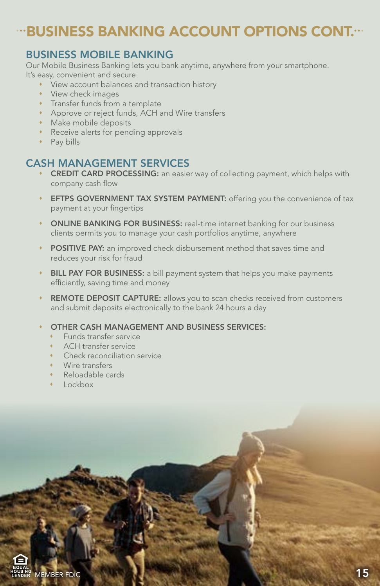### **"BUSINESS BANKING ACCOUNT OPTIONS CONT."**

#### BUSINESS MOBILE BANKING

Our Mobile Business Banking lets you bank anytime, anywhere from your smartphone. It's easy, convenient and secure.

- View account balances and transaction history
- View check images
- **\*** Transfer funds from a template
- Approve or reject funds, ACH and Wire transfers
- Make mobile deposits
- **Receive alerts for pending approvals**
- Pay bills

#### CASH MANAGEMENT SERVICES

- **CREDIT CARD PROCESSING:** an easier way of collecting payment, which helps with company cash flow
- **EFTPS GOVERNMENT TAX SYSTEM PAYMENT:** offering you the convenience of tax payment at your fingertips
- ONLINE BANKING FOR BUSINESS: real-time internet banking for our business clients permits you to manage your cash portfolios anytime, anywhere
- POSITIVE PAY: an improved check disbursement method that saves time and reduces your risk for fraud
- BILL PAY FOR BUSINESS: a bill payment system that helps you make payments efficiently, saving time and money
- REMOTE DEPOSIT CAPTURE: allows you to scan checks received from customers and submit deposits electronically to the bank 24 hours a day
- OTHER CASH MANAGEMENT AND BUSINESS SERVICES:
	- Funds transfer service
	- ACH transfer service
	- Check reconciliation service
	- Wire transfers
	- Reloadable cards
	- $\cdot$  Lockbox

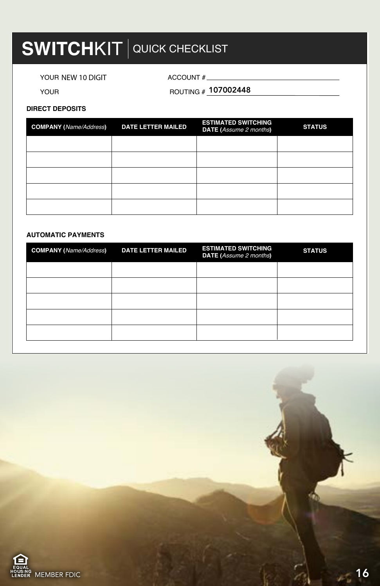### **SWITCHKIT** QUICK CHECKLIST

YOUR NEW 10 DIGIT ACCOUNT #

YOUR **ROUTING # 107002448** 

#### **DIRECT DEPOSITS**

| <b>COMPANY</b> (Name/Address) | <b>DATE LETTER MAILED</b> | <b>ESTIMATED SWITCHING</b><br><b>DATE</b> (Assume 2 months) | <b>STATUS</b> |
|-------------------------------|---------------------------|-------------------------------------------------------------|---------------|
|                               |                           |                                                             |               |
|                               |                           |                                                             |               |
|                               |                           |                                                             |               |
|                               |                           |                                                             |               |
|                               |                           |                                                             |               |

#### **AUTOMATIC PAYMENTS**

| <b>COMPANY</b> (Name/Address) | <b>DATE LETTER MAILED</b> | <b>ESTIMATED SWITCHING</b><br><b>DATE</b> (Assume 2 months) | <b>STATUS</b> |
|-------------------------------|---------------------------|-------------------------------------------------------------|---------------|
|                               |                           |                                                             |               |
|                               |                           |                                                             |               |
|                               |                           |                                                             |               |
|                               |                           |                                                             |               |
|                               |                           |                                                             |               |

**AMOUNT DATE CLEARED**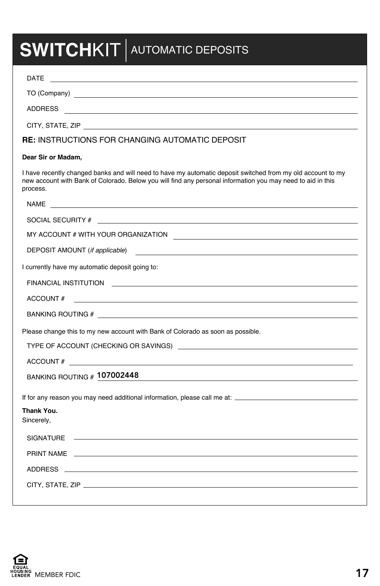## **SWITCHKIT** AUTOMATIC DEPOSITS

| DATE<br><u> 1989 - Andrea State Barbara, amerikan personal dan personal dan personal dan personal dan personal dan personal dan personal dan personal dan personal dan personal dan personal dan personal dan personal dan personal dan </u>                 |
|--------------------------------------------------------------------------------------------------------------------------------------------------------------------------------------------------------------------------------------------------------------|
|                                                                                                                                                                                                                                                              |
| ADDRESS <b>Example 2008</b> and 2008 and 2008 and 2008 and 2008 and 2008 and 2008 and 2008 and 2008 and 2008 and 2008 and 2008 and 2008 and 2008 and 2008 and 2008 and 2008 and 2008 and 2008 and 2008 and 2008 and 2008 and 2008 a                          |
|                                                                                                                                                                                                                                                              |
| <b>RE: INSTRUCTIONS FOR CHANGING AUTOMATIC DEPOSIT</b>                                                                                                                                                                                                       |
| Dear Sir or Madam,                                                                                                                                                                                                                                           |
| I have recently changed banks and will need to have my automatic deposit switched from my old account to my<br>new account with Bank of Colorado. Below you will find any personal information you may need to aid in this<br>process.                       |
| NAME And the contract of the contract of the contract of the contract of the contract of the contract of the contract of the contract of the contract of the contract of the contract of the contract of the contract of the c                               |
|                                                                                                                                                                                                                                                              |
|                                                                                                                                                                                                                                                              |
| DEPOSIT AMOUNT (if applicable)<br><u> 1989 - Johann Stein, mars and de Branch and de Branch and de Branch and de Branch and de Branch and de Branch</u>                                                                                                      |
| I currently have my automatic deposit going to:                                                                                                                                                                                                              |
|                                                                                                                                                                                                                                                              |
| ACCOUNT#<br><u> 1980 - Johann Stoff, die besteht der Stoff aus der Stoff aus der Stoff aus der Stoff aus der Stoff aus der S</u>                                                                                                                             |
|                                                                                                                                                                                                                                                              |
| Please change this to my new account with Bank of Colorado as soon as possible.                                                                                                                                                                              |
| TYPE OF ACCOUNT (CHECKING OR SAVINGS) NOTICED AND THE RELATIONS OF SAMPLE ASSESSED ASSESSED.                                                                                                                                                                 |
| ACCOUNT#                                                                                                                                                                                                                                                     |
| BANKING ROUTING # 107002448<br>the control of the control of the control of the control of the control of the control of the control of the control of the control of the control of the control of the control of the control of the control of the control |
|                                                                                                                                                                                                                                                              |
| Thank You.<br>Sincerely,                                                                                                                                                                                                                                     |
| SIGNATURE ———————————————————————————                                                                                                                                                                                                                        |
|                                                                                                                                                                                                                                                              |
|                                                                                                                                                                                                                                                              |
|                                                                                                                                                                                                                                                              |
|                                                                                                                                                                                                                                                              |

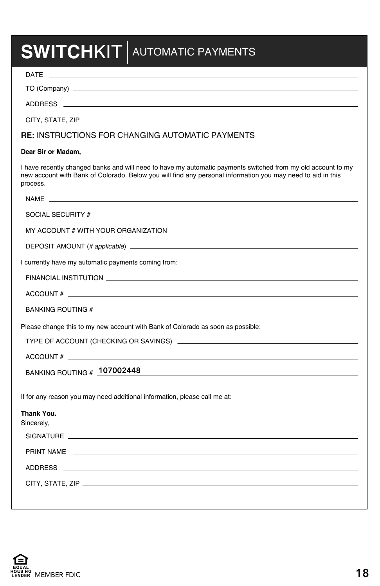# **SWITCHKIT** AUTOMATIC PAYMENTS

| DATE                                                                                                                                                                                                                                                         |
|--------------------------------------------------------------------------------------------------------------------------------------------------------------------------------------------------------------------------------------------------------------|
|                                                                                                                                                                                                                                                              |
|                                                                                                                                                                                                                                                              |
|                                                                                                                                                                                                                                                              |
| <b>RE: INSTRUCTIONS FOR CHANGING AUTOMATIC PAYMENTS</b>                                                                                                                                                                                                      |
| Dear Sir or Madam,                                                                                                                                                                                                                                           |
| I have recently changed banks and will need to have my automatic payments switched from my old account to my<br>new account with Bank of Colorado. Below you will find any personal information you may need to aid in this<br>process.                      |
|                                                                                                                                                                                                                                                              |
|                                                                                                                                                                                                                                                              |
|                                                                                                                                                                                                                                                              |
|                                                                                                                                                                                                                                                              |
| I currently have my automatic payments coming from:                                                                                                                                                                                                          |
|                                                                                                                                                                                                                                                              |
| ACCOUNT $#$ $\qquad$                                                                                                                                                                                                                                         |
|                                                                                                                                                                                                                                                              |
| Please change this to my new account with Bank of Colorado as soon as possible:                                                                                                                                                                              |
|                                                                                                                                                                                                                                                              |
|                                                                                                                                                                                                                                                              |
| BANKING ROUTING # 107002448<br>the control of the control of the control of the control of the control of the control of the control of the control of the control of the control of the control of the control of the control of the control of the control |
|                                                                                                                                                                                                                                                              |
|                                                                                                                                                                                                                                                              |
| Thank You.<br>Sincerely,                                                                                                                                                                                                                                     |
| SIGNATURE <b>And the Community of the Community Community</b> of the Community of the Community of the Community of the                                                                                                                                      |
|                                                                                                                                                                                                                                                              |
|                                                                                                                                                                                                                                                              |
|                                                                                                                                                                                                                                                              |
|                                                                                                                                                                                                                                                              |

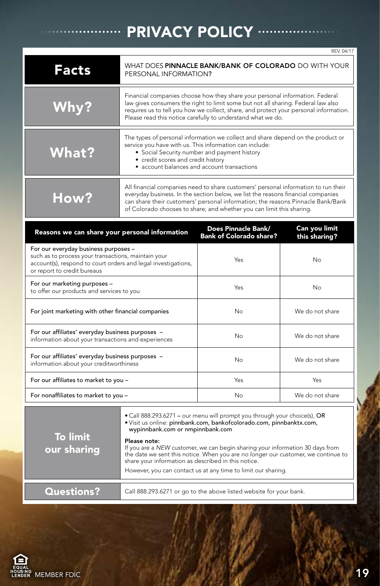### **PRIVACY POLICY .....**

|                                                                                                                                                                                             |                                                                                                                                                                                                                                                                                                                                    |           | RFV 04/17                      |  |  |  |
|---------------------------------------------------------------------------------------------------------------------------------------------------------------------------------------------|------------------------------------------------------------------------------------------------------------------------------------------------------------------------------------------------------------------------------------------------------------------------------------------------------------------------------------|-----------|--------------------------------|--|--|--|
| <b>Facts</b>                                                                                                                                                                                | WHAT DOES PINNACLE BANK/BANK OF COLORADO DO WITH YOUR<br>PERSONAL INFORMATION?                                                                                                                                                                                                                                                     |           |                                |  |  |  |
| Why?                                                                                                                                                                                        | Financial companies choose how they share your personal information. Federal<br>law gives consumers the right to limit some but not all sharing. Federal law also<br>requires us to tell you how we collect, share, and protect your personal information.<br>Please read this notice carefully to understand what we do.          |           |                                |  |  |  |
| <b>What?</b>                                                                                                                                                                                | The types of personal information we collect and share depend on the product or<br>service you have with us. This information can include:<br>• Social Security number and payment history<br>• credit scores and credit history<br>· account balances and account transactions                                                    |           |                                |  |  |  |
| <b>How?</b>                                                                                                                                                                                 | All financial companies need to share customers' personal information to run their<br>everyday business. In the section below, we list the reasons financial companies<br>can share their customers' personal information; the reasons Pinnacle Bank/Bank<br>of Colorado chooses to share; and whether you can limit this sharing. |           |                                |  |  |  |
| Does Pinnacle Bank/<br>Reasons we can share your personal information<br><b>Bank of Colorado share?</b>                                                                                     |                                                                                                                                                                                                                                                                                                                                    |           | Can you limit<br>this sharing? |  |  |  |
| For our everyday business purposes -<br>such as to process your transactions, maintain your<br>account(s), respond to court orders and legal investigations,<br>or report to credit bureaus |                                                                                                                                                                                                                                                                                                                                    | Yes       | No                             |  |  |  |
| For our marketing purposes -<br>to offer our products and services to you                                                                                                                   |                                                                                                                                                                                                                                                                                                                                    | Yes<br>Nο |                                |  |  |  |
|                                                                                                                                                                                             |                                                                                                                                                                                                                                                                                                                                    |           |                                |  |  |  |

| For joint marketing with other financial companies                                                      | No. | We do not share |
|---------------------------------------------------------------------------------------------------------|-----|-----------------|
| For our affiliates' everyday business purposes -<br>information about your transactions and experiences | No. | We do not share |
| For our affiliates' everyday business purposes -<br>information about your creditworthiness             | No  | We do not share |
| For our affiliates to market to you -                                                                   | Yes | Yes             |
| For nonaffiliates to market to you -                                                                    | Nο  | We do not share |

| <b>To limit</b><br>our sharing | • Call 888.293.6271 - our menu will prompt you through your choice(s), OR<br>· Visit us online: pinnbank.com, bankofcolorado.com, pinnbanktx.com,<br>wypinnbank.com or nmpinnbank.com                                                     |  |  |  |  |
|--------------------------------|-------------------------------------------------------------------------------------------------------------------------------------------------------------------------------------------------------------------------------------------|--|--|--|--|
|                                | Please note:<br>If you are a NEW customer, we can begin sharing your information 30 days from<br>the date we sent this notice. When you are no longer our customer, we continue to<br>share your information as described in this notice. |  |  |  |  |
|                                | However, you can contact us at any time to limit our sharing.                                                                                                                                                                             |  |  |  |  |
| <b>Questions?</b>              | Call 888.293.6271 or go to the above listed website for your bank.                                                                                                                                                                        |  |  |  |  |
|                                |                                                                                                                                                                                                                                           |  |  |  |  |

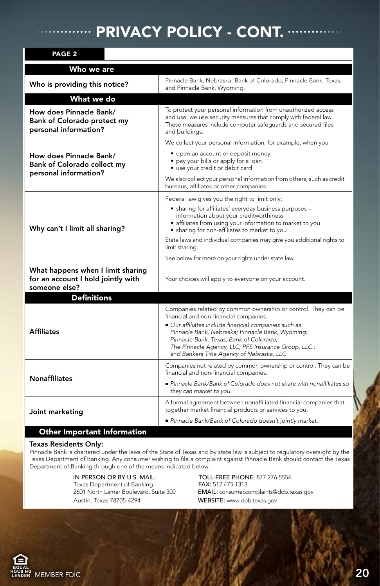### PRIVACY POLICY - CONT. "

| PAGE <sub>2</sub>                                                                        |                                                                                                                                                                                                                                                                                                                                                                   |  |  |  |  |
|------------------------------------------------------------------------------------------|-------------------------------------------------------------------------------------------------------------------------------------------------------------------------------------------------------------------------------------------------------------------------------------------------------------------------------------------------------------------|--|--|--|--|
| Who we are                                                                               |                                                                                                                                                                                                                                                                                                                                                                   |  |  |  |  |
| Who is providing this notice?                                                            | Pinnacle Bank, Nebraska; Bank of Colorado; Pinnacle Bank, Texas;<br>and Pinnacle Bank, Wyoming.                                                                                                                                                                                                                                                                   |  |  |  |  |
| What we do                                                                               |                                                                                                                                                                                                                                                                                                                                                                   |  |  |  |  |
| How does Pinnacle Bank/<br>Bank of Colorado protect my<br>personal information?          | To protect your personal information from unauthorized access<br>and use, we use security measures that comply with federal law.<br>These measures include computer safeguards and secured files<br>and buildings.                                                                                                                                                |  |  |  |  |
|                                                                                          | We collect your personal information, for example, when you                                                                                                                                                                                                                                                                                                       |  |  |  |  |
| How does Pinnacle Bank/<br><b>Bank of Colorado collect my</b><br>personal information?   | • open an account or deposit money<br>• pay your bills or apply for a loan<br>• use your credit or debit card                                                                                                                                                                                                                                                     |  |  |  |  |
|                                                                                          | We also collect your personal information from others, such as credit<br>bureaus, affiliates or other companies.                                                                                                                                                                                                                                                  |  |  |  |  |
|                                                                                          | Federal law gives you the right to limit only:                                                                                                                                                                                                                                                                                                                    |  |  |  |  |
| Why can't I limit all sharing?                                                           | • sharing for affiliates' everyday business purposes -<br>information about your creditworthiness<br>· affiliates from using your information to market to you<br>• sharing for non-affiliates to market to you                                                                                                                                                   |  |  |  |  |
|                                                                                          | State laws and individual companies may give you additional rights to<br>limit sharing.                                                                                                                                                                                                                                                                           |  |  |  |  |
|                                                                                          | See below for more on your rights under state law.                                                                                                                                                                                                                                                                                                                |  |  |  |  |
| What happens when I limit sharing<br>for an account I hold jointly with<br>someone else? | Your choices will apply to everyone on your account.                                                                                                                                                                                                                                                                                                              |  |  |  |  |
| <b>Definitions</b>                                                                       |                                                                                                                                                                                                                                                                                                                                                                   |  |  |  |  |
| <b>Affiliates</b>                                                                        | Companies related by common ownership or control. They can be<br>financial and non-financial companies.<br>Our affiliates include financial companies such as<br>Pinnacle Bank, Nebraska; Pinnacle Bank, Wyoming;<br>Pinnacle Bank, Texas; Bank of Colorado;<br>The Pinnacle Agency, LLC; PFS Insurance Group, LLC.;<br>and Bankers Title Agency of Nebraska, LLC |  |  |  |  |
|                                                                                          | Companies not related by common ownership or control. They can be<br>financial and non-financial companies.                                                                                                                                                                                                                                                       |  |  |  |  |
| <b>Nonaffiliates</b>                                                                     | Pinnacle Bank/Bank of Colorado does not share with nonaffiliates so<br>they can market to you.                                                                                                                                                                                                                                                                    |  |  |  |  |
| Joint marketing                                                                          | A formal agreement between nonaffiliated financial companies that<br>together market financial products or services to you.                                                                                                                                                                                                                                       |  |  |  |  |
|                                                                                          | Pinnacle Bank/Bank of Colorado doesn't jointly market.                                                                                                                                                                                                                                                                                                            |  |  |  |  |
| Other Important Information                                                              |                                                                                                                                                                                                                                                                                                                                                                   |  |  |  |  |

#### Texas Residents Only:

Pinnacle Bank is chartered under the laws of the State of Texas and by state law is subject to regulatory oversight by the Texas Department of Banking. Any consumer wishing to file a complaint against Pinnacle Bank should contact the Texas Department of Banking through one of the means indicated below:

> IN PERSON OR BY U.S. MAIL:<br>
> TOLL-FREE PHONE: 877.276.5554<br>
> FAX: 512.475.1313<br>
> Texas Department of Banking<br>
> Texas Department of Banking Texas Department of Banking<br>2601 North Lamar Boulevard, Suite 300 Austin, Texas 78705-4294 WEBSITE: www.dob.texas.gov

EMAIL: consumer.complaints@dob.texas.gov